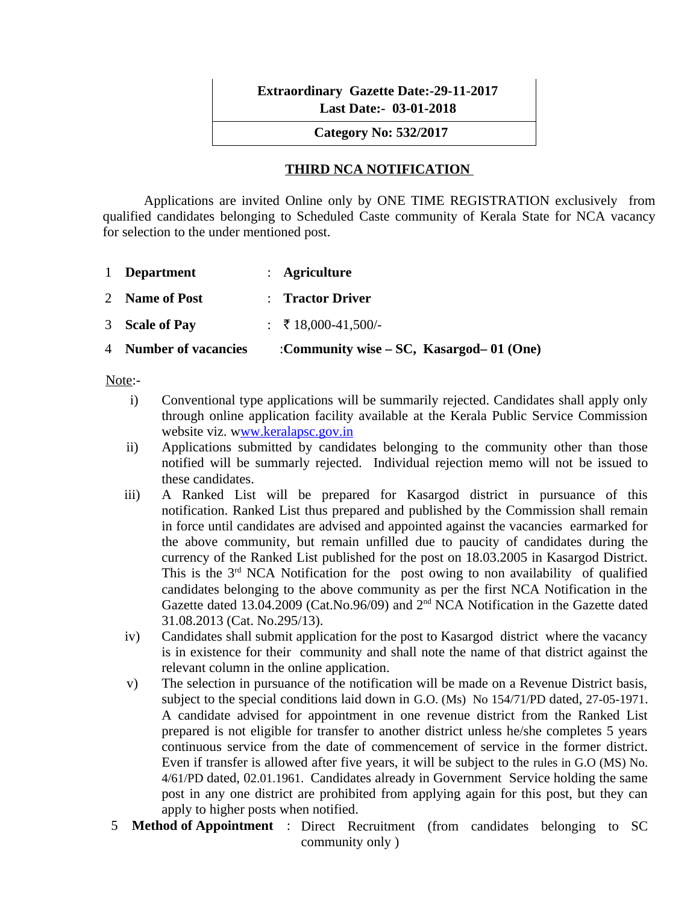|  | <b>Extraordinary Gazette Date:-29-11-2017</b> |
|--|-----------------------------------------------|
|  | <b>Last Date: 03-01-2018</b>                  |

 **Category No: 532/2017**

#### **THIRD NCA NOTIFICATION**

Applications are invited Online only by ONE TIME REGISTRATION exclusively from qualified candidates belonging to Scheduled Caste community of Kerala State for NCA vacancy for selection to the under mentioned post.

| 1 Department          | : Agriculture                           |
|-----------------------|-----------------------------------------|
| 2 Name of Post        | : Tractor Driver                        |
| 3 Scale of Pay        | : ₹ 18,000-41,500/-                     |
| 4 Number of vacancies | :Community wise – SC, Kasargod–01 (One) |

#### Note:-

- i) Conventional type applications will be summarily rejected. Candidates shall apply only through online application facility available at the Kerala Public Service Commission website viz. [www.keralapsc.gov.in](http://Www.keralapsc.gov.in/)
- ii) Applications submitted by candidates belonging to the community other than those notified will be summarly rejected. Individual rejection memo will not be issued to these candidates.
- iii) A Ranked List will be prepared for Kasargod district in pursuance of this notification. Ranked List thus prepared and published by the Commission shall remain in force until candidates are advised and appointed against the vacancies earmarked for the above community, but remain unfilled due to paucity of candidates during the currency of the Ranked List published for the post on 18.03.2005 in Kasargod District. This is the 3<sup>rd</sup> NCA Notification for the post owing to non availability of qualified candidates belonging to the above community as per the first NCA Notification in the Gazette dated 13.04.2009 (Cat.No.96/09) and 2<sup>nd</sup> NCA Notification in the Gazette dated 31.08.2013 (Cat. No.295/13).
- iv) Candidates shall submit application for the post to Kasargod district where the vacancy is in existence for their community and shall note the name of that district against the relevant column in the online application.
- v) The selection in pursuance of the notification will be made on a Revenue District basis, subject to the special conditions laid down in G.O. (Ms) No 154/71/PD dated, 27-05-1971. A candidate advised for appointment in one revenue district from the Ranked List prepared is not eligible for transfer to another district unless he/she completes 5 years continuous service from the date of commencement of service in the former district. Even if transfer is allowed after five years, it will be subject to the rules in G.O (MS) No. 4/61/PD dated, 02.01.1961. Candidates already in Government Service holding the same post in any one district are prohibited from applying again for this post, but they can apply to higher posts when notified.
- 5 **Method of Appointment** : Direct Recruitment (from candidates belonging to SC community only )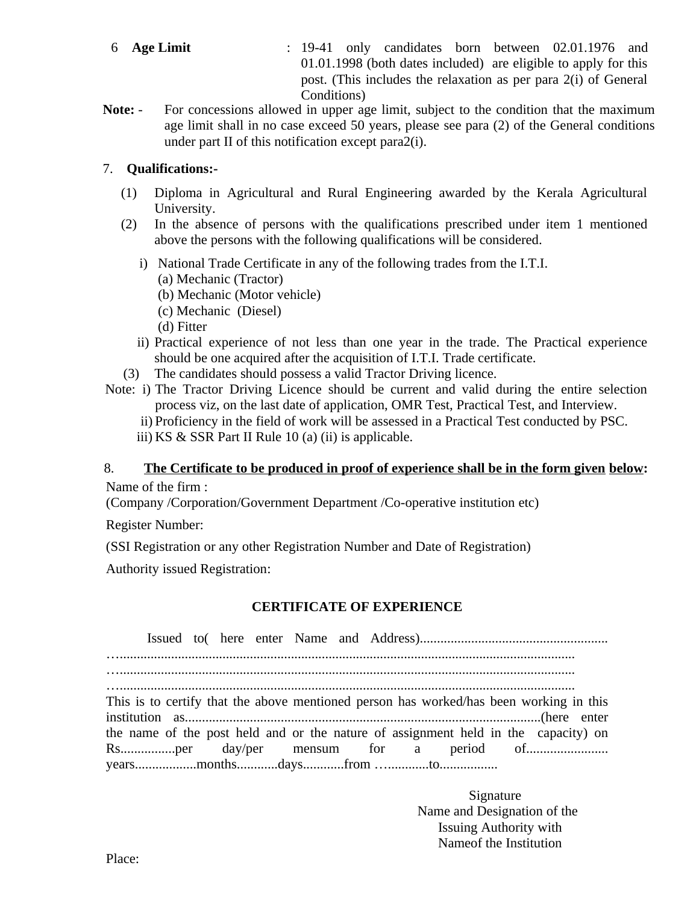- 6 **Age Limit** : 19-41 only candidates born between 02.01.1976 and 01.01.1998 (both dates included) are eligible to apply for this post. (This includes the relaxation as per para 2(i) of General Conditions)
- **Note:** For concessions allowed in upper age limit, subject to the condition that the maximum age limit shall in no case exceed 50 years, please see para (2) of the General conditions under part II of this notification except para2(i).

#### 7. **Qualifications:-**

- (1) Diploma in Agricultural and Rural Engineering awarded by the Kerala Agricultural University.
- (2) In the absence of persons with the qualifications prescribed under item 1 mentioned above the persons with the following qualifications will be considered.
	- i) National Trade Certificate in any of the following trades from the I.T.I.
		- (a) Mechanic (Tractor)
		- (b) Mechanic (Motor vehicle)
		- (c) Mechanic (Diesel)
		- (d) Fitter
	- ii) Practical experience of not less than one year in the trade. The Practical experience should be one acquired after the acquisition of I.T.I. Trade certificate.
- (3) The candidates should possess a valid Tractor Driving licence.
- Note: i) The Tractor Driving Licence should be current and valid during the entire selection process viz, on the last date of application, OMR Test, Practical Test, and Interview.
	- ii) Proficiency in the field of work will be assessed in a Practical Test conducted by PSC.
	- iii) KS & SSR Part II Rule 10 (a) (ii) is applicable.

## 8. **The Certificate to be produced in proof of experience shall be in the form given below:**

Name of the firm :

(Company /Corporation/Government Department /Co-operative institution etc)

Register Number:

(SSI Registration or any other Registration Number and Date of Registration)

Authority issued Registration:

#### **CERTIFICATE OF EXPERIENCE**

Issued to( here enter Name and Address)....................................................... …..................................................................................................................................... …..................................................................................................................................... …..................................................................................................................................... This is to certify that the above mentioned person has worked/has been working in this institution as........................................................................................................(here enter the name of the post held and or the nature of assignment held in the capacity) on Rs................per day/per mensum for a period of........................ years..................months............days............from …............to.................

> Signature Name and Designation of the Issuing Authority with Nameof the Institution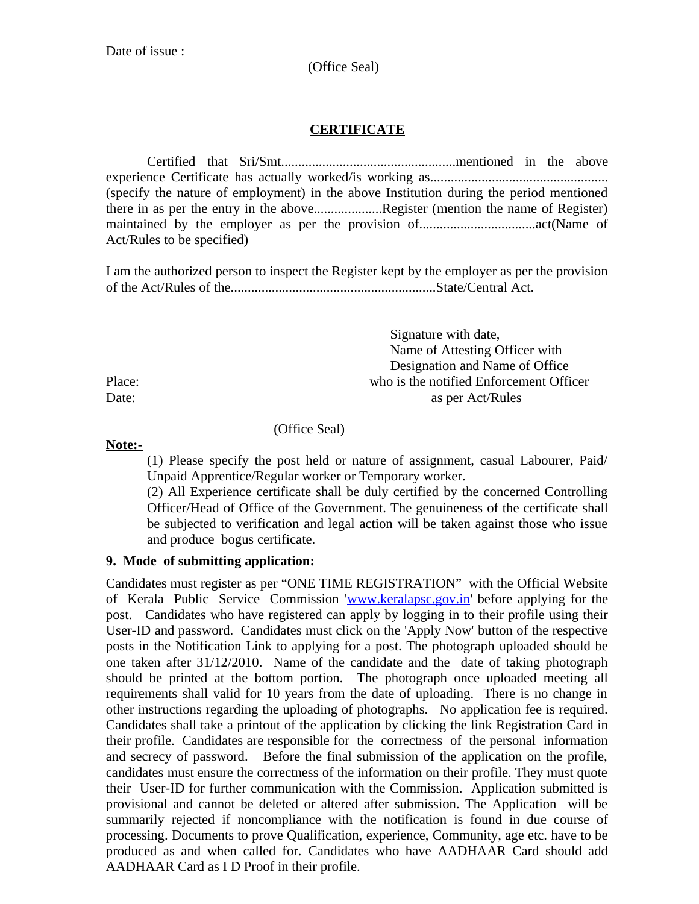#### (Office Seal)

### **CERTIFICATE**

Certified that Sri/Smt...................................................mentioned in the above experience Certificate has actually worked/is working as.................................................... (specify the nature of employment) in the above Institution during the period mentioned there in as per the entry in the above..................Register (mention the name of Register) maintained by the employer as per the provision of..................................act(Name of Act/Rules to be specified)

I am the authorized person to inspect the Register kept by the employer as per the provision of the Act/Rules of the............................................................State/Central Act.

 Signature with date, Name of Attesting Officer with Designation and Name of Office Place: who is the notified Enforcement Officer Date: as per Act/Rules

#### (Office Seal)

**Note:-**

(1) Please specify the post held or nature of assignment, casual Labourer, Paid/ Unpaid Apprentice/Regular worker or Temporary worker.

(2) All Experience certificate shall be duly certified by the concerned Controlling Officer/Head of Office of the Government. The genuineness of the certificate shall be subjected to verification and legal action will be taken against those who issue and produce bogus certificate.

#### **9. Mode of submitting application:**

Candidates must register as per "ONE TIME REGISTRATION" with the Official Website of Kerala Public Service Commission '[www.keralapsc.gov.in'](http://www.keralapsc.gov.in/) before applying for the post. Candidates who have registered can apply by logging in to their profile using their User-ID and password. Candidates must click on the 'Apply Now' button of the respective posts in the Notification Link to applying for a post. The photograph uploaded should be one taken after 31/12/2010. Name of the candidate and the date of taking photograph should be printed at the bottom portion. The photograph once uploaded meeting all requirements shall valid for 10 years from the date of uploading. There is no change in other instructions regarding the uploading of photographs. No application fee is required. Candidates shall take a printout of the application by clicking the link Registration Card in their profile. Candidates are responsible for the correctness of the personal information and secrecy of password. Before the final submission of the application on the profile, candidates must ensure the correctness of the information on their profile. They must quote their User-ID for further communication with the Commission. Application submitted is provisional and cannot be deleted or altered after submission. The Application will be summarily rejected if noncompliance with the notification is found in due course of processing. Documents to prove Qualification, experience, Community, age etc. have to be produced as and when called for. Candidates who have AADHAAR Card should add AADHAAR Card as I D Proof in their profile.